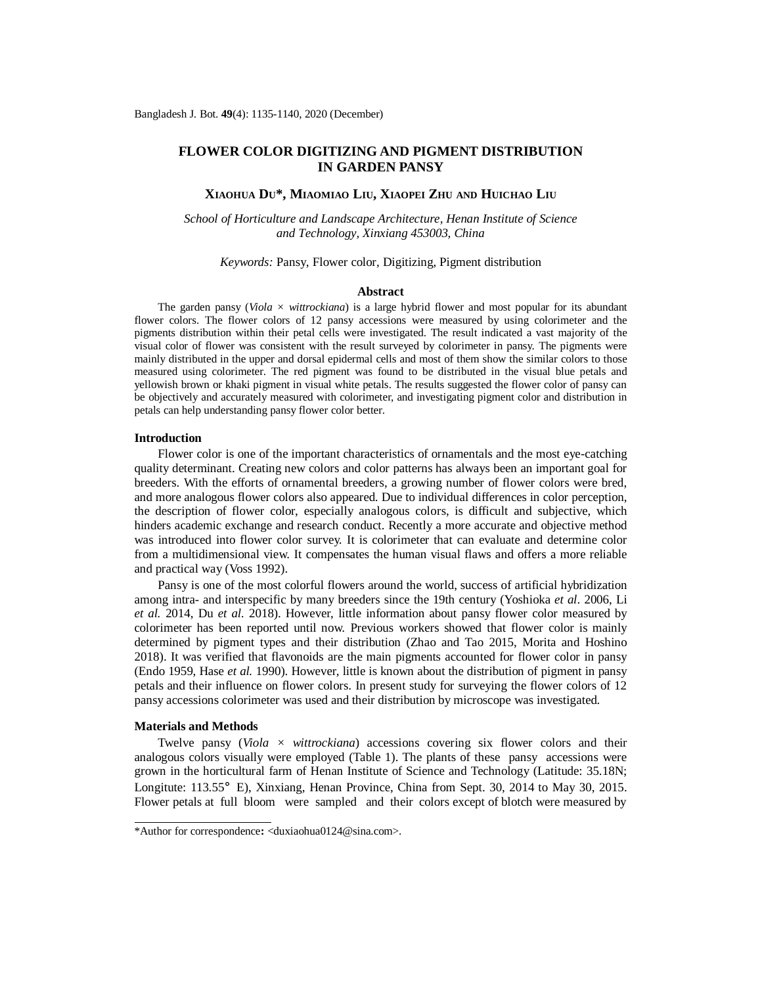# **FLOWER COLOR DIGITIZING AND PIGMENT DISTRIBUTION IN GARDEN PANSY**

## **XIAOHUA DU\*, MIAOMIAO LIU, XIAOPEI ZHU AND HUICHAO LIU**

*School of Horticulture and Landscape Architecture, Henan Institute of Science and Technology, Xinxiang 453003, China*

### *Keywords:* Pansy, Flower color, Digitizing, Pigment distribution

#### **Abstract**

The garden pansy (*Viola*  $\times$  *wittrockiana*) is a large hybrid flower and most popular for its abundant flower colors. The flower colors of 12 pansy accessions were measured by using colorimeter and the pigments distribution within their petal cells were investigated. The result indicated a vast majority of the visual color of flower was consistent with the result surveyed by colorimeter in pansy. The pigments were mainly distributed in the upper and dorsal epidermal cells and most of them show the similar colors to those measured using colorimeter. The red pigment was found to be distributed in the visual blue petals and yellowish brown or khaki pigment in visual white petals. The results suggested the flower color of pansy can be objectively and accurately measured with colorimeter, and investigating pigment color and distribution in petals can help understanding pansy flower color better.

## **Introduction**

Flower color is one of the important characteristics of ornamentals and the most eye-catching quality determinant. Creating new colors and color patterns has always been an important goal for breeders. With the efforts of ornamental breeders, a growing number of flower colors were bred, and more analogous flower colors also appeared. Due to individual differences in color perception, the description of flower color, especially analogous colors, is difficult and subjective, which hinders academic exchange and research conduct. Recently a more accurate and objective method was introduced into flower color survey. It is colorimeter that can evaluate and determine color from a multidimensional view. It compensates the human visual flaws and offers a more reliable and practical way (Voss 1992).

Pansy is one of the most colorful flowers around the world, success of artificial hybridization among intra- and interspecific by many breeders since the 19th century (Yoshioka *et al*. 2006, Li *et al.* 2014, Du *et al.* 2018). However, little information about pansy flower color measured by colorimeter has been reported until now. Previous workers showed that flower color is mainly determined by pigment types and their distribution (Zhao and Tao 2015, Morita and Hoshino 2018). It was verified that flavonoids are the main pigments accounted for flower color in pansy (Endo 1959, Hase *et al.* 1990). However, little is known about the distribution of pigment in pansy petals and their influence on flower colors. In present study for surveying the flower colors of 12 pansy accessions colorimeter was used and their distribution by microscope was investigated.

### **Materials and Methods**

Twelve pansy (*Viola × wittrockiana*) accessions covering six flower colors and their analogous colors visually were employed (Table 1). The plants of these pansy accessions were grown in the horticultural farm of Henan Institute of Science and Technology (Latitude: 35.18N; Longitute: 113.55°E), Xinxiang, Henan Province, China from Sept. 30, 2014 to May 30, 2015. Flower petals at full bloom were sampled and their colors except of blotch were measured by

<sup>\*</sup>Author for correspondence**:** [<duxiaohua0124@sina.com>](mailto:duxiaohua0124@sina.com).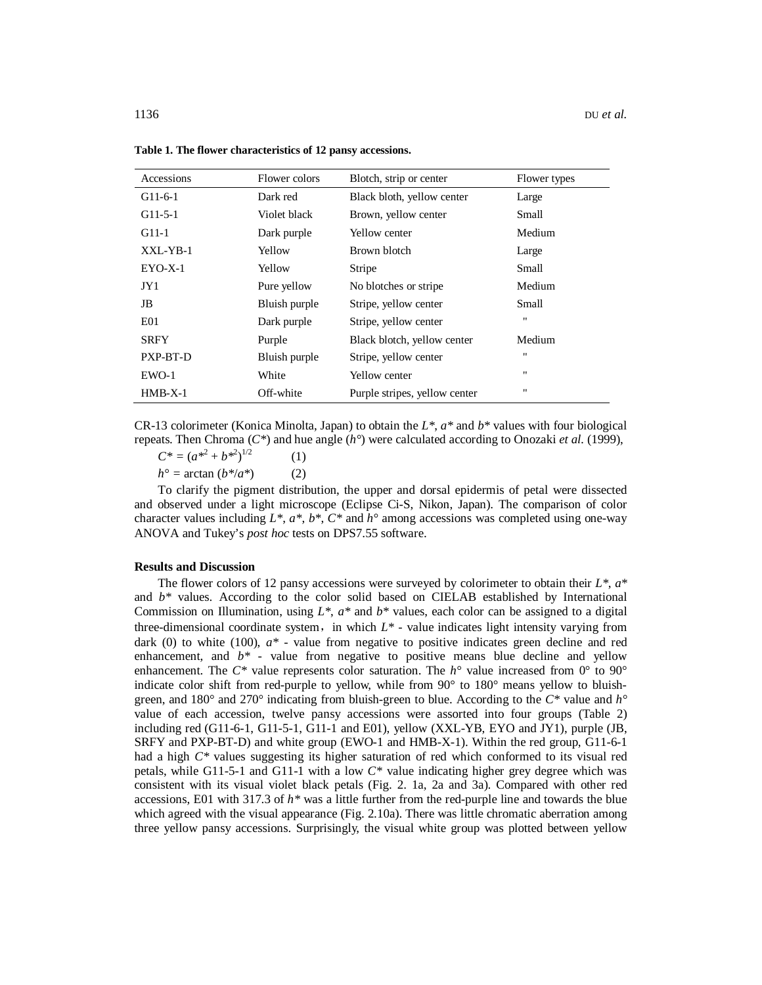| Accessions      | Flower colors | Blotch, strip or center       | Flower types   |
|-----------------|---------------|-------------------------------|----------------|
| $G11-6-1$       | Dark red      | Black bloth, yellow center    | Large          |
| $G11-5-1$       | Violet black  | Brown, yellow center          | Small          |
| $G11-1$         | Dark purple   | Yellow center                 | Medium         |
| XXL-YB-1        | Yellow        | Brown blotch                  | Large          |
| $EYO-X-1$       | Yellow        | Stripe                        | Small          |
| JY1             | Pure yellow   | No blotches or stripe.        | Medium         |
| JB              | Bluish purple | Stripe, yellow center         | Small          |
| E <sub>01</sub> | Dark purple   | Stripe, yellow center         | $\blacksquare$ |
| <b>SRFY</b>     | Purple        | Black blotch, yellow center   | Medium         |
| PXP-BT-D        | Bluish purple | Stripe, yellow center         | $\blacksquare$ |
| $EWO-1$         | White         | Yellow center                 | $\blacksquare$ |
| $HMB-X-1$       | Off-white     | Purple stripes, yellow center | $\blacksquare$ |

**Table 1. The flower characteristics of 12 pansy accessions.**

CR-13 colorimeter (Konica Minolta, Japan) to obtain the *L\**, *a\** and *b\** values with four biological repeats. Then Chroma (*C\**) and hue angle (*h°*) were calculated according to Onozaki *et al.* (1999),

 $C^* = (a^{*^2} + b^{*^2})^{1/2}$ (1)

 $h^{\circ} = \arctan (b^{*}/a^{*})$  (2)

To clarify the pigment distribution, the upper and dorsal epidermis of petal were dissected and observed under a light microscope (Eclipse Ci-S, Nikon, Japan). The comparison of color character values including *L\**, *a\**, *b\**, *C\** and *h°* among accessions was completed using one-way ANOVA and Tukey's *post hoc* tests on DPS7.55 software.

#### **Results and Discussion**

The flower colors of 12 pansy accessions were surveyed by colorimeter to obtain their *L\**, *a\** and  $b^*$  values. According to the color solid based on CIELAB established by International Commission on Illumination, using  $L^*$ ,  $a^*$  and  $b^*$  values, each color can be assigned to a digital three-dimensional coordinate system, in which  $L^*$  - value indicates light intensity varying from dark (0) to white (100),  $a^*$  - value from negative to positive indicates green decline and red enhancement, and  $b^*$  *-* value from negative to positive means blue decline and yellow enhancement. The *C\** value represents color saturation. The *h°* value increased from 0° to 90° indicate color shift from red-purple to yellow, while from 90° to 180° means yellow to bluishgreen, and 180° and 270° indicating from bluish-green to blue. According to the *C\** value and *h°* value of each accession, twelve pansy accessions were assorted into four groups (Table 2) including red (G11-6-1, G11-5-1, G11-1 and E01), yellow (XXL-YB, EYO and JY1), purple (JB, SRFY and PXP-BT-D) and white group (EWO-1 and HMB-X-1). Within the red group, G11-6-1 had a high *C\** values suggesting its higher saturation of red which conformed to its visual red petals, while G11-5-1 and G11-1 with a low *C\** value indicating higher grey degree which was consistent with its visual violet black petals (Fig. 2. 1a, 2a and 3a). Compared with other red accessions, E01 with 317.3 of *h\** was a little further from the red-purple line and towards the blue which agreed with the visual appearance (Fig. 2.10a). There was little chromatic aberration among three yellow pansy accessions. Surprisingly, the visual white group was plotted between yellow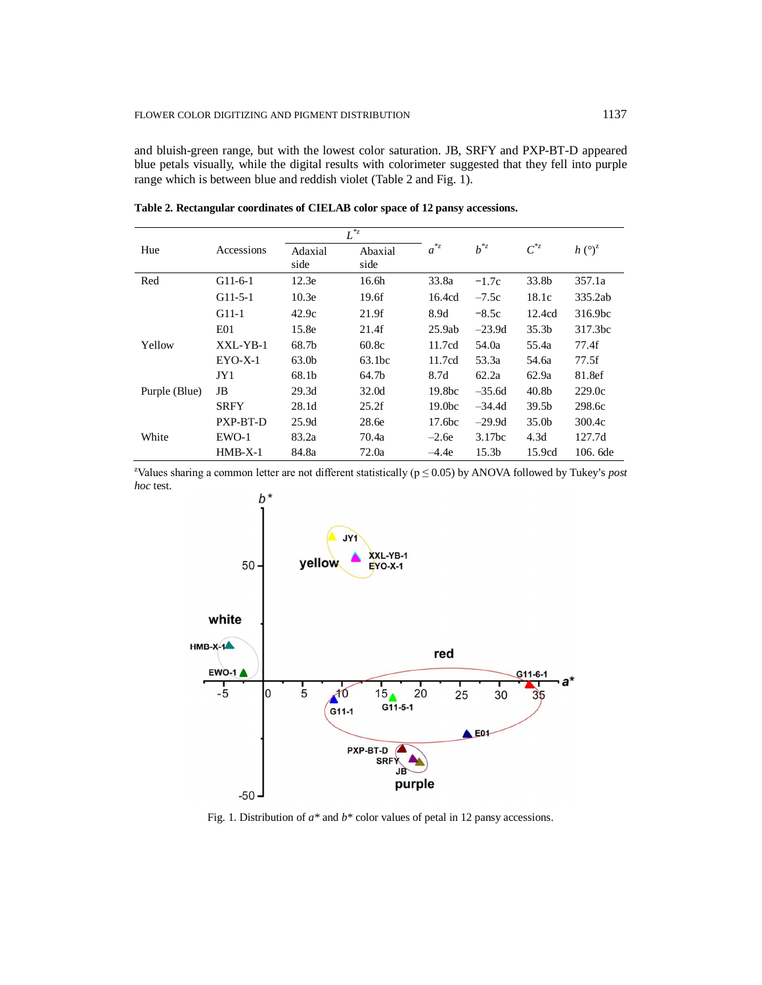and bluish-green range, but with the lowest color saturation. JB, SRFY and PXP-BT-D appeared blue petals visually, while the digital results with colorimeter suggested that they fell into purple range which is between blue and reddish violet (Table 2 and Fig. 1).

|               |             | $\overline{L}^{z}$ |                   |                    |                   |                   |                            |
|---------------|-------------|--------------------|-------------------|--------------------|-------------------|-------------------|----------------------------|
| Hue           | Accessions  | Adaxial<br>side    | Abaxial<br>side   | $a^{*z}$           | $b^{*z}$          | $C^{*z}$          | $h(^{\circ})^{\mathbb{Z}}$ |
| Red           | $G11-6-1$   | 12.3e              | 16.6 <sub>h</sub> | 33.8a              | $-1.7c$           | 33.8b             | 357.1a                     |
|               | $G11-5-1$   | 10.3 <sub>e</sub>  | 19.6f             | 16.4cd             | $-7.5c$           | 18.1c             | 335.2ab                    |
|               | $G11-1$     | 42.9c              | 21.9f             | 8.9d               | $-8.5c$           | 12.4cd            | 316.9bc                    |
|               | E01         | 15.8e              | 21.4f             | 25.9ab             | $-23.9d$          | 35.3 <sub>b</sub> | 317.3bc                    |
| Yellow        | XXL-YB-1    | 68.7b              | 60.8c             | 11.7cd             | 54.0a             | 55.4a             | 77.4f                      |
|               | $EYO-X-1$   | 63.0b              | 63.1bc            | 11.7cd             | 53.3a             | 54.6a             | 77.5f                      |
|               | JY1         | 68.1b              | 64.7b             | 8.7d               | 62.2a             | 62.9a             | 81.8ef                     |
| Purple (Blue) | JB          | 29.3d              | 32.0d             | 19.8 <sub>bc</sub> | $-35.6d$          | 40.8 <sub>b</sub> | 229.0c                     |
|               | <b>SRFY</b> | 28.1d              | 25.2f             | 19.0 <sub>bc</sub> | $-34.4d$          | 39.5 <sub>b</sub> | 298.6c                     |
|               | PXP-BT-D    | 25.9d              | 28.6e             | 17.6 <sub>bc</sub> | $-29.9d$          | 35.0 <sub>b</sub> | 300.4c                     |
| White         | EWO-1       | 83.2a              | 70.4a             | $-2.6e$            | 3.17bc            | 4.3d              | 127.7d                     |
|               | $HMB-X-1$   | 84.8a              | 72.0a             | $-4.4e$            | 15.3 <sub>b</sub> | 15.9cd            | 106.6de                    |

**Table 2. Rectangular coordinates of CIELAB color space of 12 pansy accessions.**

<sup>z</sup>Values sharing a common letter are not different statistically ( $p \le 0.05$ ) by ANOVA followed by Tukey's *post hoc* test.



Fig. 1. Distribution of *a\** and *b\** color values of petal in 12 pansy accessions.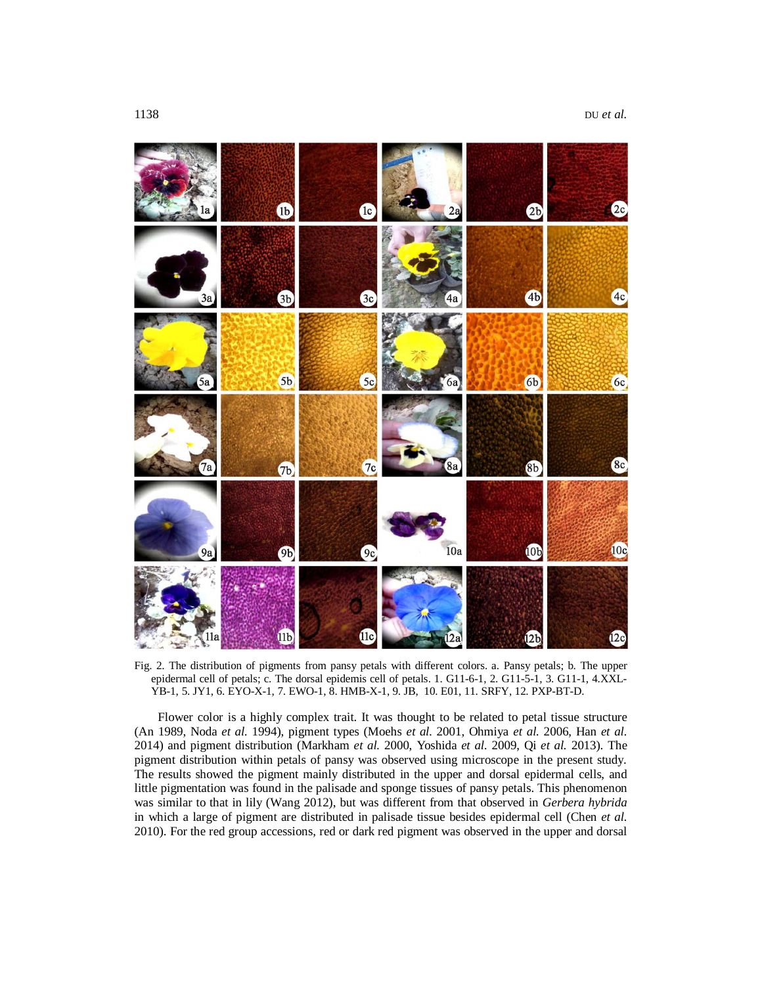

Fig. 2. The distribution of pigments from pansy petals with different colors. a. Pansy petals; b. The upper epidermal cell of petals; c. The dorsal epidemis cell of petals. 1. G11-6-1, 2. G11-5-1, 3. G11-1, 4.XXL-YB-1, 5. JY1, 6. EYO-X-1, 7. EWO-1, 8. HMB-X-1, 9. JB, 10. E01, 11. SRFY, 12. PXP-BT-D.

Flower color is a highly complex trait. It was thought to be related to petal tissue structure (An 1989, Noda *et al.* 1994), pigment types (Moehs *et al.* 2001, Ohmiya *et al.* 2006, Han *et al.* 2014) and pigment distribution (Markham *et al.* 2000, Yoshida *et al.* 2009, Qi *et al.* 2013). The pigment distribution within petals of pansy was observed using microscope in the present study. The results showed the pigment mainly distributed in the upper and dorsal epidermal cells, and little pigmentation was found in the palisade and sponge tissues of pansy petals. This phenomenon was similar to that in lily (Wang 2012), but was different from that observed in *Gerbera hybrida* in which a large of pigment are distributed in palisade tissue besides epidermal cell (Chen *et al.* 2010). For the red group accessions, red or dark red pigment was observed in the upper and dorsal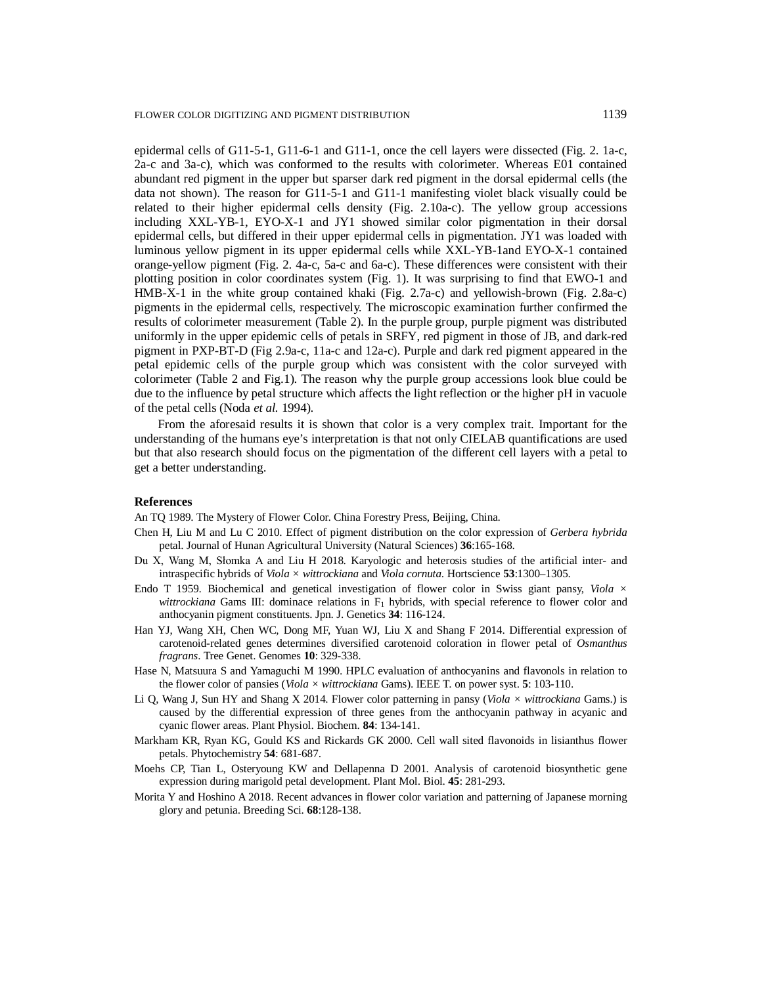epidermal cells of G11-5-1, G11-6-1 and G11-1, once the cell layers were dissected (Fig. 2. 1a-c, 2a-c and 3a-c), which was conformed to the results with colorimeter. Whereas E01 contained abundant red pigment in the upper but sparser dark red pigment in the dorsal epidermal cells (the data not shown). The reason for G11-5-1 and G11-1 manifesting violet black visually could be related to their higher epidermal cells density (Fig. 2.10a-c). The yellow group accessions including XXL-YB-1, EYO-X-1 and JY1 showed similar color pigmentation in their dorsal epidermal cells, but differed in their upper epidermal cells in pigmentation. JY1 was loaded with luminous yellow pigment in its upper epidermal cells while XXL-YB-1and EYO-X-1 contained orange-yellow pigment (Fig. 2. 4a-c, 5a-c and 6a-c). These differences were consistent with their plotting position in color coordinates system (Fig. 1). It was surprising to find that EWO-1 and HMB-X-1 in the white group contained khaki (Fig. 2.7a-c) and yellowish-brown (Fig. 2.8a-c) pigments in the epidermal cells, respectively. The microscopic examination further confirmed the results of colorimeter measurement (Table 2). In the purple group, purple pigment was distributed uniformly in the upper epidemic cells of petals in SRFY, red pigment in those of JB, and dark-red pigment in PXP-BT-D (Fig 2.9a-c, 11a-c and 12a-c). Purple and dark red pigment appeared in the petal epidemic cells of the purple group which was consistent with the color surveyed with colorimeter (Table 2 and Fig.1). The reason why the purple group accessions look blue could be due to the influence by petal structure which affects the light reflection or the higher pH in vacuole of the petal cells (Noda *et al.* 1994).

From the aforesaid results it is shown that color is a very complex trait. Important for the understanding of the humans eye's interpretation is that not only CIELAB quantifications are used but that also research should focus on the pigmentation of the different cell layers with a petal to get a better understanding.

#### **References**

An TQ 1989. The Mystery of Flower Color. China Forestry Press, Beijing, China.

- Chen H, Liu M and Lu C 2010. Effect of pigment distribution on the color expression of *Gerbera hybrida*  petal. Journal of Hunan Agricultural University (Natural Sciences) **36**:165-168.
- Du X, Wang M, Słomka A and Liu H 2018. Karyologic and heterosis studies of the artificial inter- and intraspecific hybrids of *Viola × wittrockiana* and *Viola cornuta*. Hortscience **53**:1300–1305.
- Endo T 1959. Biochemical and genetical investigation of flower color in Swiss giant pansy, *Viola × wittrockiana* Gams III: dominace relations in F<sub>1</sub> hybrids, with special reference to flower color and anthocyanin pigment constituents. Jpn. J. Genetics **34**: 116-124.
- Han YJ, Wang XH, Chen WC, Dong MF, Yuan WJ, Liu X and Shang F 2014. Differential expression of carotenoid-related genes determines diversified carotenoid coloration in flower petal of *Osmanthus fragrans*. Tree Genet. Genomes **10**: 329-338.
- Hase N, Matsuura S and Yamaguchi M 1990. HPLC evaluation of anthocyanins and flavonols in relation to the flower color of pansies (*Viola × wittrockiana* Gams). IEEE T. on power syst. **5**: 103-110.
- Li Q, Wang J, Sun HY and Shang X 2014. Flower color patterning in pansy (*Viola × wittrockiana* Gams.) is caused by the differential expression of three genes from the anthocyanin pathway in acyanic and cyanic flower areas. Plant Physiol. Biochem. **84**: 134-141.
- Markham KR, Ryan KG, Gould KS and Rickards GK 2000. Cell wall sited flavonoids in lisianthus flower petals. Phytochemistry **54**: 681-687.
- Moehs CP, Tian L, Osteryoung KW and Dellapenna D 2001. Analysis of carotenoid biosynthetic gene expression during marigold petal development. Plant Mol. Biol. **45**: 281-293.
- Morita Y and Hoshino A 2018. Recent advances in flower color variation and patterning of Japanese morning glory and petunia. Breeding Sci. **68**:128-138.